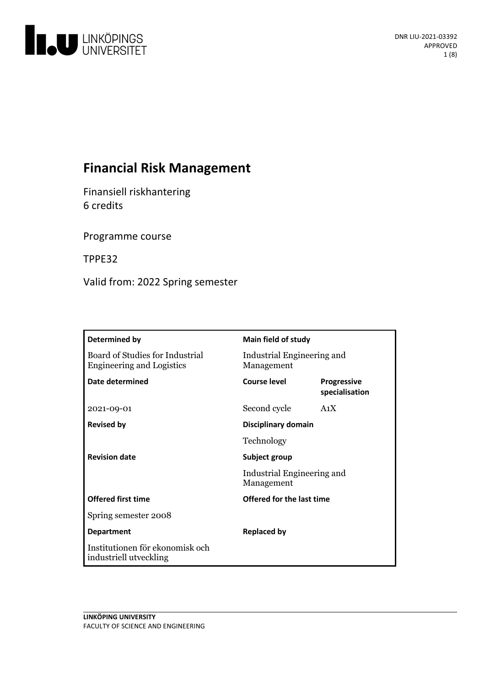

# **Financial Risk Management**

Finansiell riskhantering 6 credits

Programme course

TPPE32

Valid from: 2022 Spring semester

| Determined by                                                       | Main field of study                                       |                               |
|---------------------------------------------------------------------|-----------------------------------------------------------|-------------------------------|
| Board of Studies for Industrial<br><b>Engineering and Logistics</b> | Industrial Engineering and<br>Management                  |                               |
| Date determined                                                     | Course level                                              | Progressive<br>specialisation |
| 2021-09-01                                                          | Second cycle                                              | A <sub>1</sub> X              |
| <b>Revised by</b>                                                   | Disciplinary domain                                       |                               |
|                                                                     | Technology                                                |                               |
| <b>Revision date</b>                                                | Subject group<br>Industrial Engineering and<br>Management |                               |
|                                                                     |                                                           |                               |
| <b>Offered first time</b>                                           | Offered for the last time                                 |                               |
| Spring semester 2008                                                |                                                           |                               |
| <b>Department</b>                                                   | <b>Replaced by</b>                                        |                               |
| Institutionen för ekonomisk och<br>industriell utveckling           |                                                           |                               |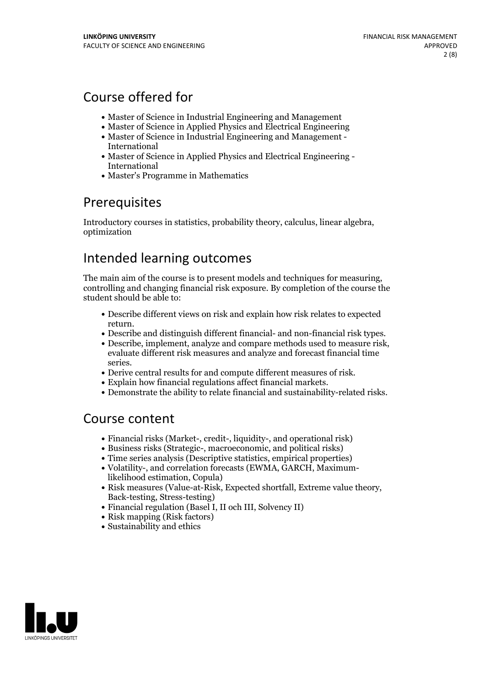# Course offered for

- Master of Science in Industrial Engineering and Management
- Master of Science in Applied Physics and Electrical Engineering
- Master of Science in Industrial Engineering and Management International
- Master of Science in Applied Physics and Electrical Engineering International
- Master's Programme in Mathematics

## Prerequisites

Introductory courses in statistics, probability theory, calculus, linear algebra, optimization

## Intended learning outcomes

The main aim of the course is to present models and techniques for measuring, controlling and changing financial risk exposure. By completion of the course the student should be able to:

- Describe different views on risk and explain how risk relates to expected
- 
- Describe and distinguish different financial- and non-financial risk types.<br>• Describe, implement, analyze and compare methods used to measure risk, evaluate different risk measures and analyze and forecast financial tim
- 
- 
- series.<br>• Derive central results for and compute different measures of risk.<br>• Explain how financial regulations affect financial markets.<br>• Demonstrate the ability to relate financial and sustainability-related risks.

## Course content

- Financial risks (Market-, credit-, liquidity-, and operational risk)
- Business risks (Strategic-, macroeconomic, and political risks)
- Time series analysis (Descriptive statistics, empirical properties)
- Volatility-, and correlation forecasts (EWMA, GARCH, Maximumlikelihood estimation, Copula)
- Risk measures (Value-at-Risk, Expected shortfall, Extreme value theory, Back-testing, Stress-testing)
- Financial regulation (Basel I, II och III, Solvency II)
- Risk mapping (Risk factors)
- Sustainability and ethics

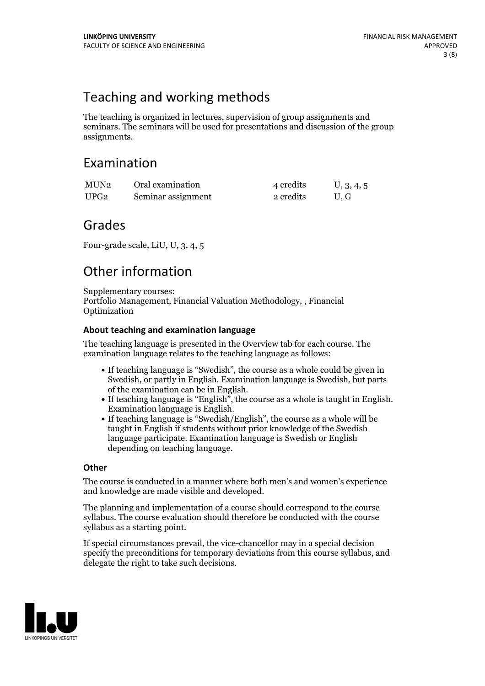## Teaching and working methods

The teaching is organized in lectures, supervision of group assignments and seminars. The seminars will be used for presentations and discussion of the group assignments.

## Examination

| MUN2 | Oral examination   | 4 credits | U, 3, 4, 5 |
|------|--------------------|-----------|------------|
| UPG2 | Seminar assignment | 2 credits | U.G        |

## Grades

Four-grade scale, LiU, U, 3, 4, 5

# Other information

Supplementary courses: Portfolio Management, Financial Valuation Methodology, , Financial Optimization

### **About teaching and examination language**

The teaching language is presented in the Overview tab for each course. The examination language relates to the teaching language as follows:

- If teaching language is "Swedish", the course as a whole could be given in Swedish, or partly in English. Examination language is Swedish, but parts
- If teaching language is "English", the course as a whole is taught in English.<br>Examination language is English.<br>If teaching language is "Swedish/English", the course as a whole will be
- taught in English if students without prior knowledge of the Swedish language participate. Examination language is Swedish or English depending on teaching language.

### **Other**

The course is conducted in a manner where both men's and women's experience and knowledge are made visible and developed.

The planning and implementation of a course should correspond to the course syllabus. The course evaluation should therefore be conducted with the course syllabus as a starting point.

If special circumstances prevail, the vice-chancellor may in a special decision specify the preconditions for temporary deviations from this course syllabus, and delegate the right to take such decisions.

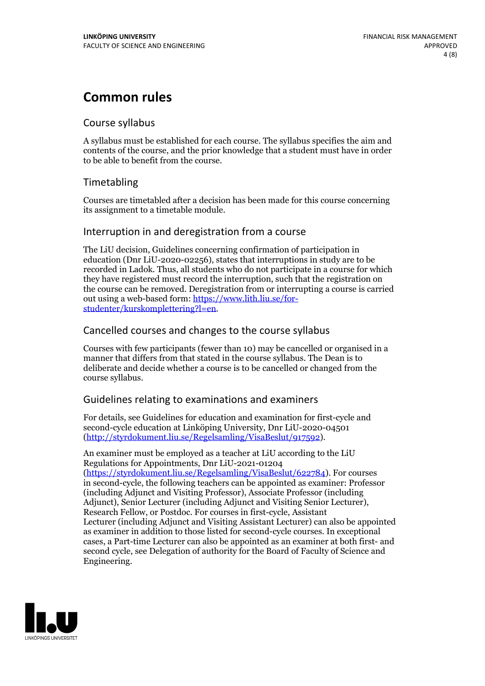## **Common rules**

### Course syllabus

A syllabus must be established for each course. The syllabus specifies the aim and contents of the course, and the prior knowledge that a student must have in order to be able to benefit from the course.

## Timetabling

Courses are timetabled after a decision has been made for this course concerning its assignment to a timetable module.

### Interruption in and deregistration from a course

The LiU decision, Guidelines concerning confirmation of participation in education (Dnr LiU-2020-02256), states that interruptions in study are to be recorded in Ladok. Thus, all students who do not participate in a course for which they have registered must record the interruption, such that the registration on the course can be removed. Deregistration from or interrupting a course is carried out using <sup>a</sup> web-based form: https://www.lith.liu.se/for- [studenter/kurskomplettering?l=en.](https://www.lith.liu.se/for-studenter/kurskomplettering?l=en)

## Cancelled courses and changes to the course syllabus

Courses with few participants (fewer than 10) may be cancelled or organised in a manner that differs from that stated in the course syllabus. The Dean is to deliberate and decide whether a course is to be cancelled or changed from the course syllabus.

## Guidelines relating to examinations and examiners

For details, see Guidelines for education and examination for first-cycle and second-cycle education at Linköping University, Dnr LiU-2020-04501 [\(http://styrdokument.liu.se/Regelsamling/VisaBeslut/917592\)](http://styrdokument.liu.se/Regelsamling/VisaBeslut/917592).

An examiner must be employed as a teacher at LiU according to the LiU Regulations for Appointments, Dnr LiU-2021-01204 [\(https://styrdokument.liu.se/Regelsamling/VisaBeslut/622784](https://styrdokument.liu.se/Regelsamling/VisaBeslut/622784)). For courses in second-cycle, the following teachers can be appointed as examiner: Professor (including Adjunct and Visiting Professor), Associate Professor (including Adjunct), Senior Lecturer (including Adjunct and Visiting Senior Lecturer), Research Fellow, or Postdoc. For courses in first-cycle, Assistant Lecturer (including Adjunct and Visiting Assistant Lecturer) can also be appointed as examiner in addition to those listed for second-cycle courses. In exceptional cases, a Part-time Lecturer can also be appointed as an examiner at both first- and second cycle, see Delegation of authority for the Board of Faculty of Science and Engineering.

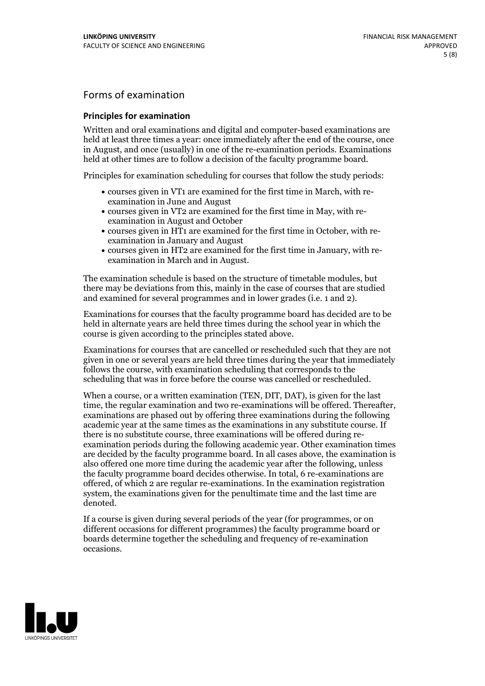## Forms of examination

#### **Principles for examination**

Written and oral examinations and digital and computer-based examinations are held at least three times a year: once immediately after the end of the course, once in August, and once (usually) in one of the re-examination periods. Examinations held at other times are to follow a decision of the faculty programme board.

Principles for examination scheduling for courses that follow the study periods:

- courses given in VT1 are examined for the first time in March, with re-examination in June and August
- courses given in VT2 are examined for the first time in May, with re-examination in August and October
- courses given in HT1 are examined for the first time in October, with re-examination in January and August
- courses given in HT2 are examined for the first time in January, with re-examination in March and in August.

The examination schedule is based on the structure of timetable modules, but there may be deviations from this, mainly in the case of courses that are studied and examined for several programmes and in lower grades (i.e. 1 and 2).

Examinations for courses that the faculty programme board has decided are to be held in alternate years are held three times during the school year in which the course is given according to the principles stated above.

Examinations for courses that are cancelled orrescheduled such that they are not given in one or several years are held three times during the year that immediately follows the course, with examination scheduling that corresponds to the scheduling that was in force before the course was cancelled or rescheduled.

When a course, or a written examination (TEN, DIT, DAT), is given for the last time, the regular examination and two re-examinations will be offered. Thereafter, examinations are phased out by offering three examinations during the following academic year at the same times as the examinations in any substitute course. If there is no substitute course, three examinations will be offered during re- examination periods during the following academic year. Other examination times are decided by the faculty programme board. In all cases above, the examination is also offered one more time during the academic year after the following, unless the faculty programme board decides otherwise. In total, 6 re-examinations are offered, of which 2 are regular re-examinations. In the examination registration system, the examinations given for the penultimate time and the last time are denoted.

If a course is given during several periods of the year (for programmes, or on different occasions for different programmes) the faculty programme board or boards determine together the scheduling and frequency of re-examination occasions.

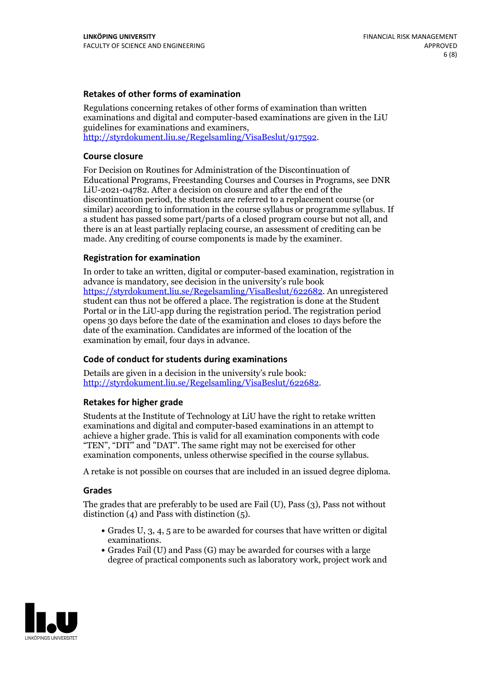### **Retakes of other forms of examination**

Regulations concerning retakes of other forms of examination than written examinations and digital and computer-based examinations are given in the LiU guidelines for examinations and examiners, [http://styrdokument.liu.se/Regelsamling/VisaBeslut/917592.](http://styrdokument.liu.se/Regelsamling/VisaBeslut/917592)

#### **Course closure**

For Decision on Routines for Administration of the Discontinuation of Educational Programs, Freestanding Courses and Courses in Programs, see DNR LiU-2021-04782. After a decision on closure and after the end of the discontinuation period, the students are referred to a replacement course (or similar) according to information in the course syllabus or programme syllabus. If a student has passed some part/parts of a closed program course but not all, and there is an at least partially replacing course, an assessment of crediting can be made. Any crediting of course components is made by the examiner.

#### **Registration for examination**

In order to take an written, digital or computer-based examination, registration in advance is mandatory, see decision in the university's rule book [https://styrdokument.liu.se/Regelsamling/VisaBeslut/622682.](https://styrdokument.liu.se/Regelsamling/VisaBeslut/622682) An unregistered student can thus not be offered a place. The registration is done at the Student Portal or in the LiU-app during the registration period. The registration period opens 30 days before the date of the examination and closes 10 days before the date of the examination. Candidates are informed of the location of the examination by email, four days in advance.

#### **Code of conduct for students during examinations**

Details are given in a decision in the university's rule book: <http://styrdokument.liu.se/Regelsamling/VisaBeslut/622682>.

#### **Retakes for higher grade**

Students at the Institute of Technology at LiU have the right to retake written examinations and digital and computer-based examinations in an attempt to achieve a higher grade. This is valid for all examination components with code "TEN", "DIT" and "DAT". The same right may not be exercised for other examination components, unless otherwise specified in the course syllabus.

A retake is not possible on courses that are included in an issued degree diploma.

#### **Grades**

The grades that are preferably to be used are Fail (U), Pass (3), Pass not without distinction  $(4)$  and Pass with distinction  $(5)$ .

- Grades U, 3, 4, 5 are to be awarded for courses that have written or digital examinations.<br>• Grades Fail (U) and Pass (G) may be awarded for courses with a large
- degree of practical components such as laboratory work, project work and

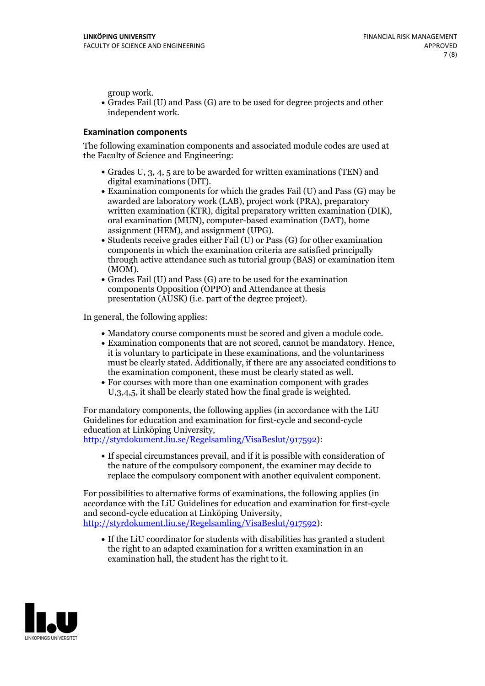group work.<br>• Grades Fail (U) and Pass (G) are to be used for degree projects and other independent work.

#### **Examination components**

The following examination components and associated module codes are used at the Faculty of Science and Engineering:

- Grades U, 3, 4, 5 are to be awarded for written examinations (TEN) and
- digital examinations (DIT).<br>• Examination components for which the grades Fail (U) and Pass (G) may be awarded are laboratory work (LAB), project work (PRA), preparatory written examination (KTR), digital preparatory written examination (DIK), oral examination (MUN), computer-based examination (DAT), home
- assignment (HEM), and assignment (UPG).<br>• Students receive grades either Fail (U) or Pass (G) for other examination components in which the examination criteria are satisfied principally through active attendance such as tutorial group (BAS) or examination item
- (MOM).<br>• Grades Fail (U) and Pass (G) are to be used for the examination components Opposition (OPPO) and Attendance at thesis presentation (AUSK) (i.e. part of the degree project).

In general, the following applies:

- 
- Mandatory course components must be scored and given <sup>a</sup> module code. Examination components that are not scored, cannot be mandatory. Hence, it is voluntary to participate in these examinations, and the voluntariness must be clearly stated. Additionally, if there are any associated conditions to
- the examination component, these must be clearly stated as well.<br>• For courses with more than one examination component with grades U,3,4,5, it shall be clearly stated how the final grade is weighted.

For mandatory components, the following applies (in accordance with the LiU Guidelines for education and examination for first-cycle and second-cycle education at Linköping University,<br>[http://styrdokument.liu.se/Regelsamling/VisaBeslut/917592\)](http://styrdokument.liu.se/Regelsamling/VisaBeslut/917592):

If special circumstances prevail, and if it is possible with consideration of the nature of the compulsory component, the examiner may decide to replace the compulsory component with another equivalent component.

For possibilities to alternative forms of examinations, the following applies (in accordance with the LiU Guidelines for education and examination for first-cycle [http://styrdokument.liu.se/Regelsamling/VisaBeslut/917592\)](http://styrdokument.liu.se/Regelsamling/VisaBeslut/917592):

If the LiU coordinator for students with disabilities has granted a student the right to an adapted examination for a written examination in an examination hall, the student has the right to it.